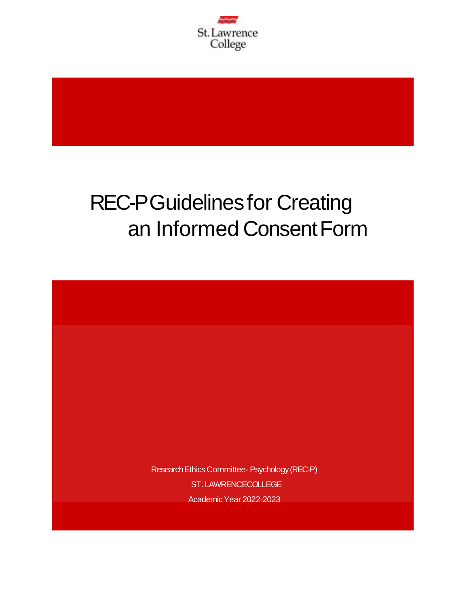

# REC-PGuidelinesfor Creating an Informed ConsentForm

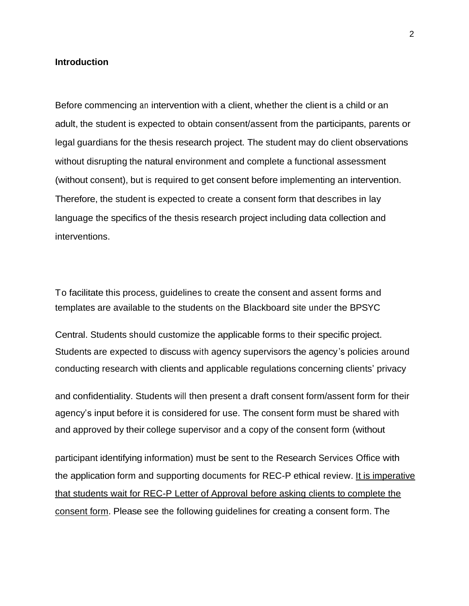#### **Introduction**

Before commencing an intervention with a client, whether the client is a child or an adult, the student is expected to obtain consent/assent from the participants, parents or legal guardians for the thesis research project. The student may do client observations without disrupting the natural environment and complete a functional assessment (without consent), but is required to get consent before implementing an intervention. Therefore, the student is expected to create a consent form that describes in lay language the specifics of the thesis research project including data collection and interventions.

To facilitate this process, guidelines to create the consent and assent forms and templates are available to the students on the Blackboard site under the BPSYC

Central. Students should customize the applicable forms to their specific project. Students are expected to discuss with agency supervisors the agency's policies around conducting research with clients and applicable regulations concerning clients' privacy

and confidentiality. Students will then present a draft consent form/assent form for their agency's input before it is considered for use. The consent form must be shared with and approved by their college supervisor and a copy of the consent form (without

participant identifying information) must be sent to the Research Services Office with the application form and supporting documents for REC-P ethical review. It is imperative that students wait for REC-P Letter of Approval before asking clients to complete the consent form. Please see the following guidelines for creating a consent form. The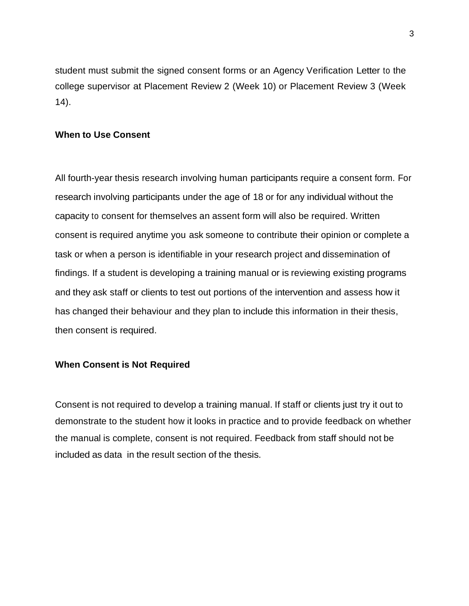student must submit the signed consent forms or an Agency Verification Letter to the college supervisor at Placement Review 2 (Week 10) or Placement Review 3 (Week 14).

## **When to Use Consent**

All fourth-year thesis research involving human participants require a consent form. For research involving participants under the age of 18 or for any individual without the capacity to consent for themselves an assent form will also be required. Written consent is required anytime you ask someone to contribute their opinion or complete a task or when a person is identifiable in your research project and dissemination of findings. If a student is developing a training manual or is reviewing existing programs and they ask staff or clients to test out portions of the intervention and assess how it has changed their behaviour and they plan to include this information in their thesis, then consent is required.

#### **When Consent is Not Required**

Consent is not required to develop a training manual. If staff or clients just try it out to demonstrate to the student how it looks in practice and to provide feedback on whether the manual is complete, consent is not required. Feedback from staff should not be included as data in the result section of the thesis.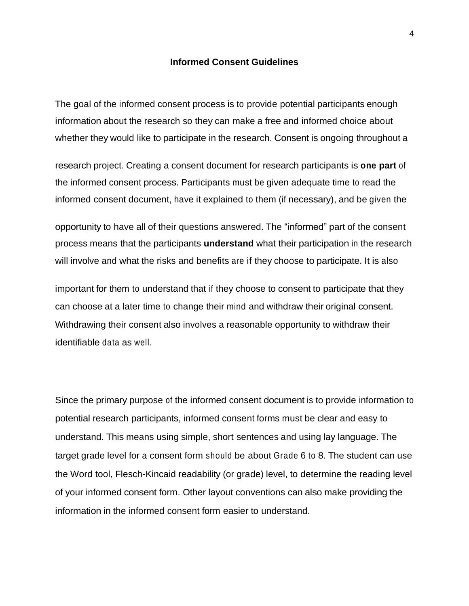#### **Informed Consent Guidelines**

The goal of the informed consent process is to provide potential participants enough information about the research so they can make a free and informed choice about whether they would like to participate in the research. Consent is ongoing throughout a

research project. Creating a consent document for research participants is **one part** of the informed consent process. Participants must be given adequate time to read the informed consent document, have it explained to them (if necessary), and be given the

opportunity to have all of their questions answered. The "informed" part of the consent process means that the participants **understand** what their participation in the research will involve and what the risks and benefits are if they choose to participate. It is also

important for them to understand that if they choose to consent to participate that they can choose at a later time to change their mind and withdraw their original consent. Withdrawing their consent also involves a reasonable opportunity to withdraw their identifiable data as well.

Since the primary purpose of the informed consent document is to provide information to potential research participants, informed consent forms must be clear and easy to understand. This means using simple, short sentences and using lay language. The target grade level for a consent form should be about Grade 6 to 8. The student can use the Word tool, Flesch-Kincaid readability (or grade) level, to determine the reading level of your informed consent form. Other layout conventions can also make providing the information in the informed consent form easier to understand.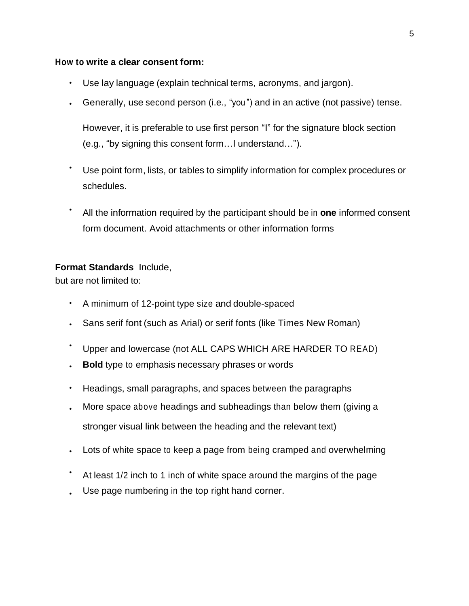## **How to write a clear consent form:**

- Use lay language (explain technical terms, acronyms, and jargon).
- Generally, use second person (i.e., "you ") and in an active (not passive) tense.

However, it is preferable to use first person "I" for the signature block section (e.g., "by signing this consent form…I understand…").

- Use point form, lists, or tables to simplify information for complex procedures or schedules.
- All the information required by the participant should be in **one** informed consent form document. Avoid attachments or other information forms

## **Format Standards** Include,

but are not limited to:

- A minimum of 12-point type size and double-spaced
- Sans serif font (such as Arial) or serif fonts (like Times New Roman)
- Upper and lowercase (not ALL CAPS WHICH ARE HARDER TO READ)
- **Bold** type to emphasis necessary phrases or words
- Headings, small paragraphs, and spaces between the paragraphs
- More space above headings and subheadings than below them (giving a stronger visual link between the heading and the relevant text)
- Lots of white space to keep a page from being cramped and overwhelming
- • At least 1/2 inch to 1 inch of white space around the margins of the page Use page numbering in the top right hand corner.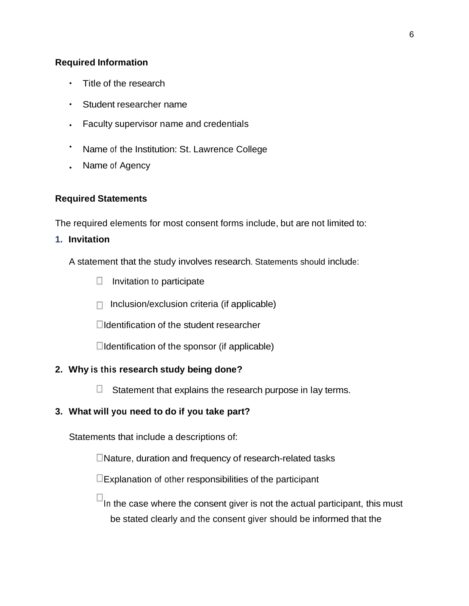## **Required Information**

- Title of the research
- Student researcher name
- Faculty supervisor name and credentials
- Name of the Institution: St. Lawrence College
- Name of Agency

## **Required Statements**

The required elements for most consent forms include, but are not limited to:

## **1. Invitation**

A statement that the study involves research. Statements should include:

- $\Box$  Invitation to participate
- $\Box$  Inclusion/exclusion criteria (if applicable)

Identification of the student researcher

 $\Box$ Identification of the sponsor (if applicable)

## **2. Why is this research study being done?**

 $\mathcal{L}_{\mathcal{A}}$ Statement that explains the research purpose in lay terms.

# **3. What will you need to do if you take part?**

Statements that include a descriptions of:

Nature, duration and frequency of research-related tasks

 $\square$ Explanation of other responsibilities of the participant

 $\Box$ In the case where the consent giver is not the actual participant, this must be stated clearly and the consent giver should be informed that the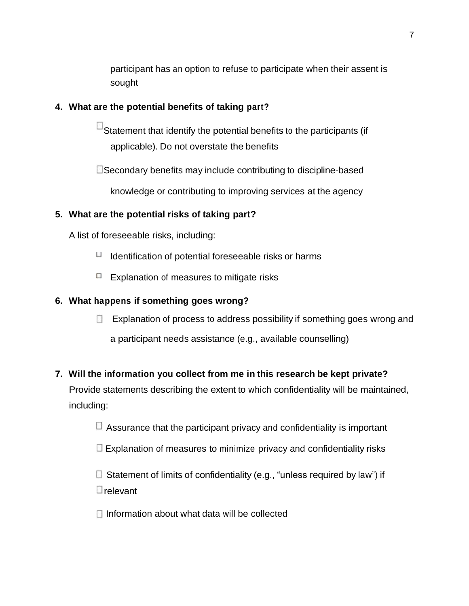participant has an option to refuse to participate when their assent is sought

# **4. What are the potential benefits of taking part?**

 $^{\square}$ Statement that identify the potential benefits to the participants (if applicable). Do not overstate the benefits

Secondary benefits may include contributing to discipline-based

knowledge or contributing to improving services at the agency

# **5. What are the potential risks of taking part?**

A list of foreseeable risks, including:

- $\Box$  Identification of potential foreseeable risks or harms
- $\Box$  Explanation of measures to mitigate risks

# **6. What happens if something goes wrong?**

**EXplanation of process to address possibility if something goes wrong and** 

a participant needs assistance (e.g., available counselling)

# **7. Will the information you collect from me in this research be kept private?**

Provide statements describing the extent to which confidentiality will be maintained, including:

 $\Box$  Assurance that the participant privacy and confidentiality is important

 $\Box$  Explanation of measures to minimize privacy and confidentiality risks

 $\square$  Statement of limits of confidentiality (e.g., "unless required by law") if

**E** relevant

 $\Box$  Information about what data will be collected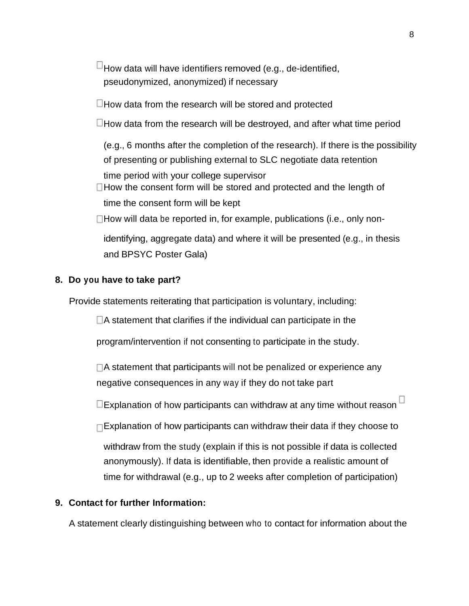$^{\boxdot}$  How data will have identifiers removed (e.g., de-identified, pseudonymized, anonymized) if necessary

 $\Box$  How data from the research will be stored and protected

 $\Box$  How data from the research will be destroyed, and after what time period

(e.g., 6 months after the completion of the research). If there is the possibility of presenting or publishing external to SLC negotiate data retention time period with your college supervisor

 $\Box$  How the consent form will be stored and protected and the length of time the consent form will be kept

 $\Box$  How will data be reported in, for example, publications (i.e., only non-

identifying, aggregate data) and where it will be presented (e.g., in thesis and BPSYC Poster Gala)

#### **8. Do you have to take part?**

Provide statements reiterating that participation is voluntary, including:

 $\Box$  A statement that clarifies if the individual can participate in the

program/intervention if not consenting to participate in the study.

 $\Box$ A statement that participants will not be penalized or experience any negative consequences in any way if they do not take part

 $\square$ Explanation of how participants can withdraw at any time without reason  $\square$ 

 $\Box$ Explanation of how participants can withdraw their data if they choose to

withdraw from the study (explain if this is not possible if data is collected anonymously). If data is identifiable, then provide a realistic amount of time for withdrawal (e.g., up to 2 weeks after completion of participation)

## **9. Contact for further Information:**

A statement clearly distinguishing between who to contact for information about the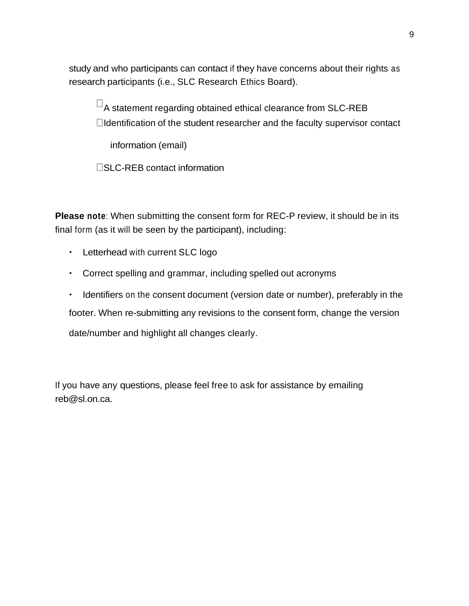study and who participants can contact if they have concerns about their rights as research participants (i.e., SLC Research Ethics Board).

 $\Box$  A statement regarding obtained ethical clearance from SLC-REB Identification of the student researcher and the faculty supervisor contact

information (email)

SLC-REB contact information

**Please note**: When submitting the consent form for REC-P review, it should be in its final form (as it will be seen by the participant), including:

- Letterhead with current SLC logo
- Correct spelling and grammar, including spelled out acronyms

• Identifiers on the consent document (version date or number), preferably in the footer. When re-submitting any revisions to the consent form, change the version date/number and highlight all changes clearly.

If you have any questions, please feel free to ask for assistance by emailing reb@sl.on.ca.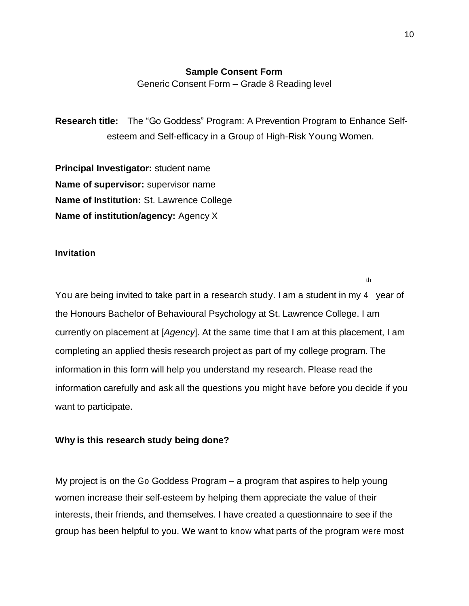#### **Sample Consent Form**

Generic Consent Form – Grade 8 Reading level

**Research title:** The "Go Goddess" Program: A Prevention Program to Enhance Selfesteem and Self-efficacy in a Group of High-Risk Young Women.

**Principal Investigator:** student name **Name of supervisor:** supervisor name **Name of Institution:** St. Lawrence College **Name of institution/agency:** Agency X

#### **Invitation**

You are being invited to take part in a research study. I am a student in my 4 year of the Honours Bachelor of Behavioural Psychology at St. Lawrence College. I am currently on placement at [*Agency*]. At the same time that I am at this placement, I am completing an applied thesis research project as part of my college program. The information in this form will help you understand my research. Please read the information carefully and ask all the questions you might have before you decide if you want to participate.

#### **Why is this research study being done?**

My project is on the Go Goddess Program – a program that aspires to help young women increase their self-esteem by helping them appreciate the value of their interests, their friends, and themselves. I have created a questionnaire to see if the group has been helpful to you. We want to know what parts of the program were most

th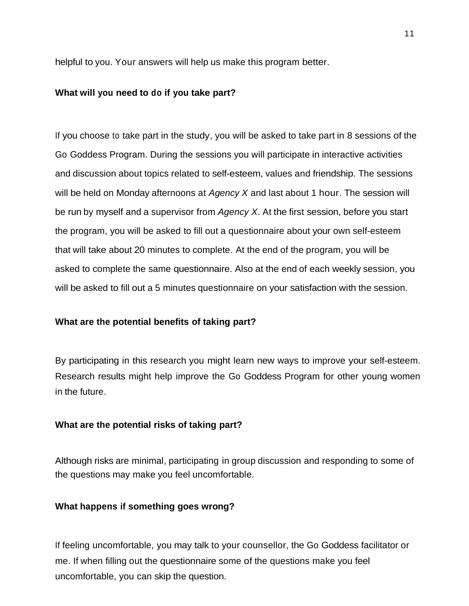helpful to you. Your answers will help us make this program better.

#### **What will you need to do if you take part?**

If you choose to take part in the study, you will be asked to take part in 8 sessions of the Go Goddess Program. During the sessions you will participate in interactive activities and discussion about topics related to self-esteem, values and friendship. The sessions will be held on Monday afternoons at *Agency X* and last about 1 hour. The session will be run by myself and a supervisor from *Agency X*. At the first session, before you start the program, you will be asked to fill out a questionnaire about your own self-esteem that will take about 20 minutes to complete. At the end of the program, you will be asked to complete the same questionnaire. Also at the end of each weekly session, you will be asked to fill out a 5 minutes questionnaire on your satisfaction with the session.

#### **What are the potential benefits of taking part?**

By participating in this research you might learn new ways to improve your self-esteem. Research results might help improve the Go Goddess Program for other young women in the future.

#### **What are the potential risks of taking part?**

Although risks are minimal, participating in group discussion and responding to some of the questions may make you feel uncomfortable.

#### **What happens if something goes wrong?**

If feeling uncomfortable, you may talk to your counsellor, the Go Goddess facilitator or me. If when filling out the questionnaire some of the questions make you feel uncomfortable, you can skip the question.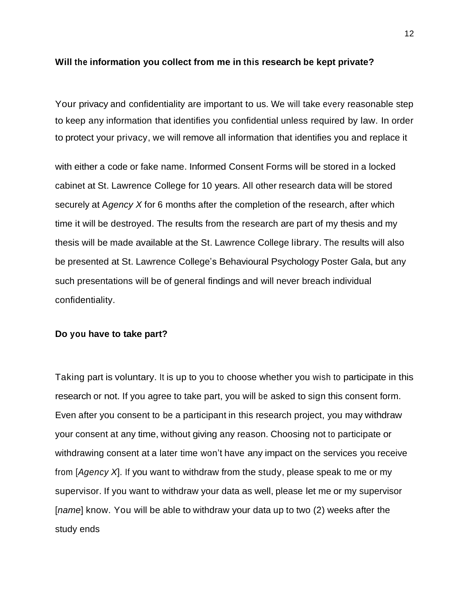#### **Will the information you collect from me in this research be kept private?**

Your privacy and confidentiality are important to us. We will take every reasonable step to keep any information that identifies you confidential unless required by law. In order to protect your privacy, we will remove all information that identifies you and replace it

with either a code or fake name. Informed Consent Forms will be stored in a locked cabinet at St. Lawrence College for 10 years. All other research data will be stored securely at A*gency X* for 6 months after the completion of the research, after which time it will be destroyed. The results from the research are part of my thesis and my thesis will be made available at the St. Lawrence College library. The results will also be presented at St. Lawrence College's Behavioural Psychology Poster Gala, but any such presentations will be of general findings and will never breach individual confidentiality.

#### **Do you have to take part?**

Taking part is voluntary. It is up to you to choose whether you wish to participate in this research or not. If you agree to take part, you will be asked to sign this consent form. Even after you consent to be a participant in this research project, you may withdraw your consent at any time, without giving any reason. Choosing not to participate or withdrawing consent at a later time won't have any impact on the services you receive from [*Agency X*]. If you want to withdraw from the study, please speak to me or my supervisor. If you want to withdraw your data as well, please let me or my supervisor [*name*] know. You will be able to withdraw your data up to two (2) weeks after the study ends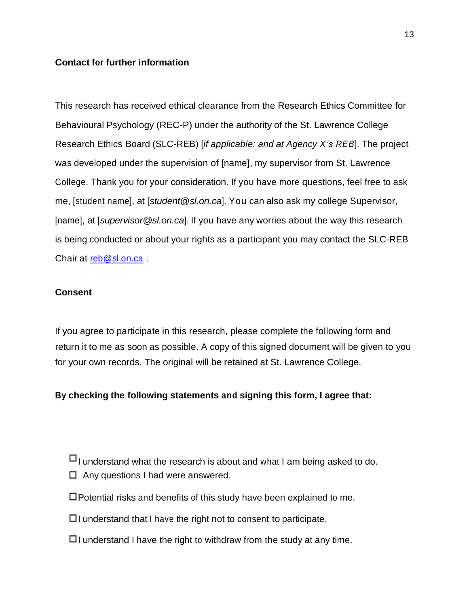## **Contact for further information**

This research has received ethical clearance from the Research Ethics Committee for Behavioural Psychology (REC-P) under the authority of the St. Lawrence College Research Ethics Board (SLC-REB) [*if applicable: and at Agency X's REB*]. The project was developed under the supervision of [name], my supervisor from St. Lawrence College. Thank you for your consideration. If you have more questions, feel free to ask me, [student name], at [*student@sl.on.ca*]. You can also ask my college Supervisor, [name], at [*supervisor@sl.on.ca*]. If you have any worries about the way this research is being conducted or about your rights as a participant you may contact the SLC-REB Chair at reb@sl.on.ca .

#### **Consent**

If you agree to participate in this research, please complete the following form and return it to me as soon as possible. A copy of this signed document will be given to you for your own records. The original will be retained at St. Lawrence College.

#### **By checking the following statements and signing this form, I agree that:**

- $\Box$  understand what the research is about and what I am being asked to do.
- $\Box$  Any questions I had were answered.
- $\Box$  Potential risks and benefits of this study have been explained to me.
- $\Box$ I understand that I have the right not to consent to participate.
- $\Box$ I understand I have the right to withdraw from the study at any time.